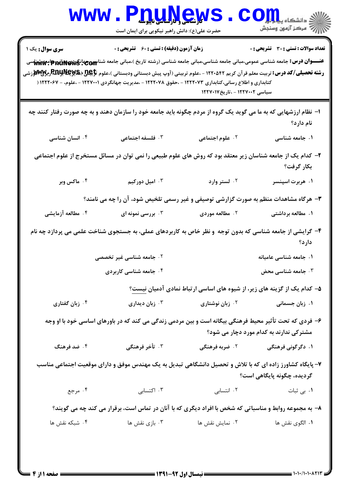| w w w                                                                                                                                                                                                                                                                                                       | <b>W (شاسی و داراساسی ناپیوسله</b><br>حضرت علی(ع): دانش راهبر نیکویی برای ایمان است                                                                    |                                                                          | دانشگاه پی <mark>ا بر</mark> ت <mark>و</mark> ر<br>رآ - مرڪز آزمون وسنڊش |  |  |
|-------------------------------------------------------------------------------------------------------------------------------------------------------------------------------------------------------------------------------------------------------------------------------------------------------------|--------------------------------------------------------------------------------------------------------------------------------------------------------|--------------------------------------------------------------------------|--------------------------------------------------------------------------|--|--|
| <b>سری سوال :</b> یک ۱<br>عنـــوان درس: جامعه شناسی عمومی،مبانی جامعه شناسی،مبانی جامعه شناسی (رشته تاریخ )،مبانی جامعه شناسی $\mathbf{c}_{\text{ceil}}$ ایمگشناسی<br><b>رشته تحصیلی/کد درس:</b> تربیت معلم قرآن کریم ۱۲۲۰۵۴۲ - ،علوم تربیتی (آوپ پیش دبستانی ودبستانی )،علوم تاپکیل(RRY وRRY ویایا)الاوزشی | زمان آزمون (دقیقه) : تستی : 60 ٪ تشریحی : 0<br>کتابداری و اطلاع رسانی،کتابداری ۱۲۲۲۰۷۳ - ،حقوق ۱۲۲۲۰۷۸ - ،مدیریت جهانگردی ۱۲۲۷۰۰۱ - ،علوم، - ۱۲۲۲۰۶۷ ( |                                                                          | <b>تعداد سوالات : تستی : 30 ٪ تشریحی : 0</b>                             |  |  |
|                                                                                                                                                                                                                                                                                                             |                                                                                                                                                        | سیاسی ۱۲۲۷۰۰۲ - ،تاریخ۱۲۲۷۰۱۷                                            |                                                                          |  |  |
| ا– نظام ارزشهایی که به ما می گوید یک گروه از مردم چگونه باید جامعه خود را سازمان دهند و به چه صورت رفتار کنند چه                                                                                                                                                                                            |                                                                                                                                                        |                                                                          | نام دارد؟                                                                |  |  |
| ۰۴ انسان شناسی                                                                                                                                                                                                                                                                                              | ۰۳ فلسفه اجتماعی                                                                                                                                       | ۰۲ علوم اجتماعی                                                          | ۰۱ جامعه شناسی                                                           |  |  |
|                                                                                                                                                                                                                                                                                                             | ۲– کدام یک از جامعه شناسان زیر معتقد بود که روش های علوم طبیعی را نمی توان در مسائل مستخرج از علوم اجتماعی                                             |                                                                          | بكار گرفت؟                                                               |  |  |
| ۰۴ ماکس وبر                                                                                                                                                                                                                                                                                                 | ۰۳ امیل دورکیم                                                                                                                                         | ۰۲ لستر وارد                                                             | ۰۱ هربرت اسپنسر                                                          |  |  |
| ۳- هرگاه مشاهدات منظم به صورت گزارشی توصیفی و غیر رسمی تلخیص شود، آن را چه می نامند؟                                                                                                                                                                                                                        |                                                                                                                                                        |                                                                          |                                                                          |  |  |
| ۰۴ مطالعه آزمایشی                                                                                                                                                                                                                                                                                           | ۰۳ بررسی نمونه ای                                                                                                                                      | ۰۲ مطالعه موردی                                                          | ۱. مطالعه برداشتی                                                        |  |  |
| ۴- گرایشی از جامعه شناسی که بدون توجه و نظر خاص به کاربردهای عملی، به جستجوی شناخت علمی می پردازد چه نام<br>دارد؟                                                                                                                                                                                           |                                                                                                                                                        |                                                                          |                                                                          |  |  |
|                                                                                                                                                                                                                                                                                                             | ۲. جامعه شناسی غیر ت <i>خصص</i> ی                                                                                                                      |                                                                          | ۰۱ جامعه شناسی عامیا <mark>ن</mark> ه                                    |  |  |
|                                                                                                                                                                                                                                                                                                             | ۰۴ جامعه شناسی کاربردی                                                                                                                                 |                                                                          | ۰۳ جامعه شناسی محض                                                       |  |  |
|                                                                                                                                                                                                                                                                                                             |                                                                                                                                                        | ۵– کدام یک از گزینه های زیر، از شیوه های اساسی ارتباط نمادی آدمیان نیست؟ |                                                                          |  |  |
| ۰۴ زبان گفتاری                                                                                                                                                                                                                                                                                              | زبان ديدارى $\cdot$                                                                                                                                    | ۰۲ زبان نوشتاری                                                          | ۰۱ زبان جسمانی                                                           |  |  |
| ۶– فردی که تحت تأثیر محیط فرهنگی بیگانه است و بین مردمی زندگی می کند که در باورهای اساسی خود با او وجه<br>مشترکی ندارند به کدام مورد دچار می شود؟                                                                                                                                                           |                                                                                                                                                        |                                                                          |                                                                          |  |  |
| ۰۴ ضد فرهنگ                                                                                                                                                                                                                                                                                                 | ۰۳ تأخر فرهنگی                                                                                                                                         | ۲.  ضربه فرهنگی                                                          | ۰۱ دگرگونی فرهنگی                                                        |  |  |
| ۷– پایگاه کشاورز زاده ای که با تلاش و تحصیل دانشگاهی تبدیل به یک مهندس موفق و دارای موقعیت اجتماعی مناسب<br>گرديده، چگونه پايگاهي است؟                                                                                                                                                                      |                                                                                                                                                        |                                                                          |                                                                          |  |  |
| ۰۴ مرجع                                                                                                                                                                                                                                                                                                     | ۰۳ اکتسابی                                                                                                                                             | ۰۲ انتسابی                                                               | ۰۱ ب <sub>ی</sub> ثبات                                                   |  |  |
| ۸- به مجموعه روابط و مناسباتی که شخص با افراد دیگری که با آنان در تماس است، برقرار می کند چه می گویند؟                                                                                                                                                                                                      |                                                                                                                                                        |                                                                          |                                                                          |  |  |
| ۰۴ شبکه نقش ها                                                                                                                                                                                                                                                                                              | ۰۳ بازی نقش ها                                                                                                                                         | ۰۲ نمایش نقش ها                                                          | ٠١. الگوى نقش ها                                                         |  |  |
|                                                                                                                                                                                                                                                                                                             |                                                                                                                                                        |                                                                          |                                                                          |  |  |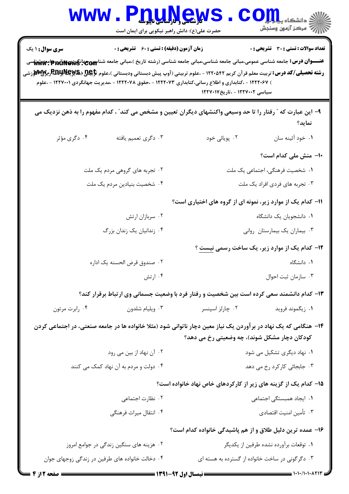WWW.PnuNews.com ||// مرکز آزمون وسنجش حضرت علی(ع): دانش راهبر نیکویی برای ایمان است **سری سوال : ۱ یک زمان آزمون (دقیقه) : تستی : 60 گشریحی: 0** تعداد سوالات : تستي : 30 - تشريحي : 0 عنـــوان درس: جامعه شناسی عمومی،مبانی جامعه شناسی،مبانی جامعه شناسی (رشته تاریخ )،مبانی جامعه شناس جهانگردی و این مشهد شناسی **رشته تحصیلی/کد درس:** تربیت معلم قرآن کریم ۱۲۲۰۵۴۲ - ،علوم تربیتی (آوپ پیش دبستانی ودبستانی )،علوم تاپکیچید (RnyNey ویWw لارزشی ) ۱۲۲۲۰۶۷ - ،کتابداری و اطلاع رسانی،کتابداری ۱۲۲۲۰۷۳ - ،حقوق ۱۲۲۲۰۷۸ - ،مدیریت جهانگردی ۱۲۲۷۰۰۱ - ،علوم سیاسی ۱۲۲۷۰۰۲ - ،تاریخ۱۲۲۷۰۱۷ ۹– این عبارت که ″ رفتار را تا حد وسیعی واکنشهای دیگران تعیین و مشخص می کند″ ، کدام مفهوم را به ذهن نزدیک می نمايد؟ ۰۴ دگړی مؤثر ۰۲ یویائے<sub>،</sub> خود ۰۱ خود آئينه سان ۰۳ دگری تعمیم بافته **۱۰** منش ملی کدام است؟ ۲. تجربه های گروهی مردم یک ملت ۰۱ شخصیت فرهنگی، اجتماعی یک ملت ۰۳ تجربه های فردی افراد یک ملت ۰۴ شخصیت بنیادین مردم یک ملت **۱۱- کدام یک از موارد زیر، نمونه ای از گروه های اختیاری است**؟ ۰۲ سربازان ارتش ۰۱ دانشجویان یک دانشگاه ۰۴ زندانیان یک زندان بزرگ ۰۳ بیماران یک بیمارستان روانی **۱۲- کدام یک از موارد زیر، یک ساخت رسمی نیست** ؟ ۰۱ دانشگاه ٢. صندوق قرض الحسنه يک اداره ۰۴ ا, تش ٠٣ سازمان ثبت احوال ۱۳- کدام دانشمند سعی کرده است بین شخصیت و رفتار فرد با وضعیت جسمانی وی ارتباط برقرار کند؟ ۰۴ رابرت مرتون ۰۳ ویلیام شلدون ۰۲ چارلز اسینسر ۰۱ زیگموند فروید ۱۴– هنگامی که یک نهاد در برآوردن یک نیاز معین دچار ناتوانی شود (مثلا خانواده ها در جامعه صنعتی، در اجتماعی کردن کودکان دچار مشکل شوند)، چه وضعیتی رخ می دهد؟ ۰۲ آن نهاد از بين مي رود ۰۱ نهاد دیگری تشکیل می شود ۴. دولت و مردم به آن نهاد کمک می کنند ۰۳ جابجائی کارکرد رخ می دهد ۱۵– کدام یک از گزینه های زیر از کارکردهای خاص نهاد خانواده است؟ ٠١. ايجاد همبستگى اجتماعى ۰۲ نظارت اجتماعی ۴. انتقال میراث فرهنگی ۰۳ تأمین امنیت اقتصادی ۱۶- عمده ترین دلیل طلاق و از هم پاشیدگی خانواده کدام است؟ ۰۱ توقعات برآورده نشده طرفين از يكديگر ۰۲ هزینه های سنگین زندگی در جوامع امروز ۰۳ دگر گونی در ساخت خانواده از گسترده به هسته ای ۰۴ دخالت خانواده های طرفین در زندگی زوجهای جوان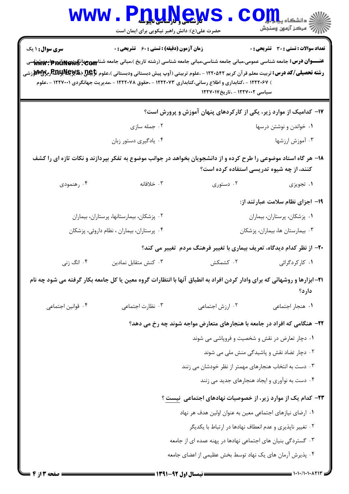|                                                                                                                                                                                                                                                                                                                                                                                                                         | www.P <u>nuMews</u><br>حضرت علی(ع): دانش راهبر نیکویی برای ایمان است     |                                                                    | الله دانشکاه پیام تول<br>الله مرکز آزمون وسنجش |  |  |  |
|-------------------------------------------------------------------------------------------------------------------------------------------------------------------------------------------------------------------------------------------------------------------------------------------------------------------------------------------------------------------------------------------------------------------------|--------------------------------------------------------------------------|--------------------------------------------------------------------|------------------------------------------------|--|--|--|
| <b>سری سوال : ۱ یک</b>                                                                                                                                                                                                                                                                                                                                                                                                  | <b>زمان آزمون (دقیقه) : تستی : 60 ٪ تشریحی : 0</b>                       |                                                                    | <b>تعداد سوالات : تستی : 30 ٪ تشریحی : 0</b>   |  |  |  |
| عنـــوان درس: جامعه شناسی عمومی،مبانی جامعه شناسی،مبانی جامعه شناسی (رشته تاریخ )،مبانی جامعه شناسی جهانگریکهای این میشناسی<br>.<br><b>رشته تحصیلی/کد درس:</b> تربیت معلم قرآن کریم ۱۲۲۰۵۴۲ - ،علوم تربیتی (آوپ پیش دبستانی ودبستانی )،علوم تاپکیل(Ray Ray وچیالا) اورچیلا)<br>) ۱۲۲۲۰۶۷ - ،کتابداری و اطلاع رسانی،کتابداری ۱۲۲۲۰۷۳ - ،حقوق ۱۲۲۲۰۷۸ - ،مدیریت جهانگردی ۱۲۲۷۰۰۱ - ،علوم<br>سیاسی ۱۲۲۷۰۰۲ - ،تاریخ۱۲۲۷۰۱۷ |                                                                          |                                                                    |                                                |  |  |  |
|                                                                                                                                                                                                                                                                                                                                                                                                                         |                                                                          | ۱۷– کدامیک از موارد زیر، یکی از کارکردهای پنهان آموزش و پرورش است؟ |                                                |  |  |  |
|                                                                                                                                                                                                                                                                                                                                                                                                                         | ۰۲ جمله سازی                                                             |                                                                    | ٠١ خواندن و نوشتن درسها                        |  |  |  |
|                                                                                                                                                                                                                                                                                                                                                                                                                         | ۰۴ يادگيري دستور زبان                                                    |                                                                    | ۰۳ آموزش ارزشها                                |  |  |  |
| ۱۸– هر گاه استاد موضوعی را طرح کرده و از دانشجویان بخواهد در جوانب موضوع به تفکر بپردازند و نکات تازه ای را کشف<br>کنند، از چه شیوه تدریسی استفاده کرده است؟                                                                                                                                                                                                                                                            |                                                                          |                                                                    |                                                |  |  |  |
| ۰۴ رهنمودي                                                                                                                                                                                                                                                                                                                                                                                                              | ۰۳ خلافانه                                                               | ۰۲ دستوری                                                          | ۱. تجویزی                                      |  |  |  |
|                                                                                                                                                                                                                                                                                                                                                                                                                         |                                                                          |                                                                    | ۱۹– اجزای نظام سلامت عبار تند از:              |  |  |  |
|                                                                                                                                                                                                                                                                                                                                                                                                                         | ۰۲ پزشکان، بیمارستانها، پرستاران، بیماران                                |                                                                    | ٠١ پزشكان، پرستاران، بيماران                   |  |  |  |
|                                                                                                                                                                                                                                                                                                                                                                                                                         | ۰۴ پرستاران، بیماران ، نظام داروئی، پزشکان                               |                                                                    | ۰۳ بیمارستان ها، بیماران، پزشکان               |  |  |  |
|                                                                                                                                                                                                                                                                                                                                                                                                                         | ۲۰– از نظر کدام دیدگاه، تعریف بیماری با تغییر فرهنگ مردم تغییر می کند؟   |                                                                    |                                                |  |  |  |
| ۰۴ انگ زنی                                                                                                                                                                                                                                                                                                                                                                                                              | نش متقابل نمادين $\cdot$ "                                               |                                                                    | <b>۱.</b> کارکردگرائی مستخش داد. کشمکش         |  |  |  |
| ۲۱- ابزارها و روشهائی که برای وادار کردن افراد به انطباق آنها با انتظارات گروه معین یا کل جامعه بکار گرفته می شود چه نام<br>دارد؟                                                                                                                                                                                                                                                                                       |                                                                          |                                                                    |                                                |  |  |  |
| ۰۴ قوانين اجتماعي                                                                                                                                                                                                                                                                                                                                                                                                       | ۰۳ نظارت اجتماعی                                                         | ۰۲ ارزش اجتماعی                                                    | ۰۱ هنجار اجتماعي                               |  |  |  |
|                                                                                                                                                                                                                                                                                                                                                                                                                         | ۲۲- هنگامی که افراد در جامعه با هنجارهای متعارض مواجه شوند چه رخ می دهد؟ |                                                                    |                                                |  |  |  |
|                                                                                                                                                                                                                                                                                                                                                                                                                         |                                                                          | ۰۱ دچار تعارض در نقش و شخصیت و فروپاشی می شوند                     |                                                |  |  |  |
|                                                                                                                                                                                                                                                                                                                                                                                                                         |                                                                          |                                                                    | ۰۲ دچار تضاد نقش و پاشیدگی منش ملی می شوند     |  |  |  |
|                                                                                                                                                                                                                                                                                                                                                                                                                         | ۰۳ دست به انتخاب هنجارهای مهمتر از نظر خودشان می زنند                    |                                                                    |                                                |  |  |  |
|                                                                                                                                                                                                                                                                                                                                                                                                                         |                                                                          |                                                                    | ۰۴ دست به نوآوری و ایجاد هنجارهای جدید می زنند |  |  |  |
| <b>۲۳</b> – کدام یک از موارد زیر، از خصوصیات نهادهای اجتماعی ِ نیست ؟                                                                                                                                                                                                                                                                                                                                                   |                                                                          |                                                                    |                                                |  |  |  |
| ٠١. ارضاى نيازهاى اجتماعي معين به عنوان اولين هدف هر نهاد                                                                                                                                                                                                                                                                                                                                                               |                                                                          |                                                                    |                                                |  |  |  |
| ۰۲ تغییر ناپذیری و عدم انعطاف نهادها در ارتباط با یکدیگر                                                                                                                                                                                                                                                                                                                                                                |                                                                          |                                                                    |                                                |  |  |  |
| ۰۳ گستردگی بنیان های اجتماعی نهادها در پهنه عمده ای از جامعه                                                                                                                                                                                                                                                                                                                                                            |                                                                          |                                                                    |                                                |  |  |  |
|                                                                                                                                                                                                                                                                                                                                                                                                                         |                                                                          | ۰۴ پذیرش آرمان های یک نهاد توسط بخش عظیمی از اعضای جامعه           |                                                |  |  |  |